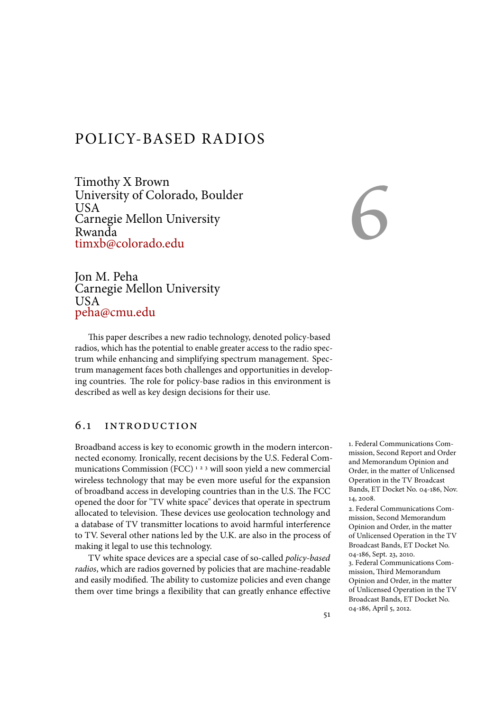# POLICY-BASED RADIOS

Timothy X Brown University of Colorado, Boulder USA Carnegie Mellon University Rwanda timxb@colorado.edu

6

Jon M. Peha Carnegie Mellon University USA peha@cmu.edu

This paper describes a new radio technology, denoted policy-based radios, which has the potential to enable greater access to the radio spectrum while enhancing and simplifying spectrum management. Spectrum management faces both challenges and opportunities in developing countries. The role for policy-base radios in this environment is described as well as key design decisions for their use.

### 6.1 introduction

Broadband access is key to economic growth in the modern interconnected economy. Ironically, recent decisions by the U.S. Federal Communications Commission (FCC)<sup>123</sup> will soon yield a new commercial wireless technology that may be even more useful for the expansion of broadband access in developing countries than in the U.S. The FCC opened the door for "TV white space" devices that operate in spectrum allocated to television. These devices use geolocation technology and a database of TV transmitter locations to avoid harmful interference to TV. Several other nations led by the U.K. are also in the process of making it legal to use this technology.

TV white space devices are a special case of so-called *policy-based radios*, which are radios governed by policies that are machine-readable and easily modified. The ability to customize policies and even change them over time brings a flexibility that can greatly enhance effective 1. Federal Communications Commission, Second Report and Order and Memorandum Opinion and Order, in the matter of Unlicensed Operation in the TV Broadcast Bands, ET Docket No. 04-186, Nov. 14, 2008.

2. Federal Communications Commission, Second Memorandum Opinion and Order, in the matter of Unlicensed Operation in the TV Broadcast Bands, ET Docket No. 04-186, Sept. 23, 2010.

3. Federal Communications Commission, Third Memorandum Opinion and Order, in the matter of Unlicensed Operation in the TV Broadcast Bands, ET Docket No. 04-186, April 5, 2012.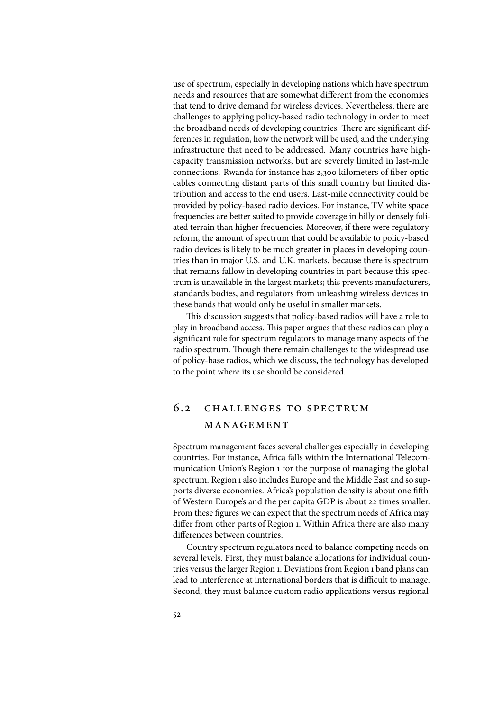use of spectrum, especially in developing nations which have spectrum needs and resources that are somewhat different from the economies that tend to drive demand for wireless devices. Nevertheless, there are challenges to applying policy-based radio technology in order to meet the broadband needs of developing countries. There are significant differences in regulation, how the network will be used, and the underlying infrastructure that need to be addressed. Many countries have highcapacity transmission networks, but are severely limited in last-mile connections. Rwanda for instance has 2,300 kilometers of fiber optic cables connecting distant parts of this small country but limited distribution and access to the end users. Last-mile connectivity could be provided by policy-based radio devices. For instance, TV white space frequencies are better suited to provide coverage in hilly or densely foliated terrain than higher frequencies. Moreover, if there were regulatory reform, the amount of spectrum that could be available to policy-based radio devices is likely to be much greater in places in developing countries than in major U.S. and U.K. markets, because there is spectrum that remains fallow in developing countries in part because this spectrum is unavailable in the largest markets; this prevents manufacturers, standards bodies, and regulators from unleashing wireless devices in these bands that would only be useful in smaller markets.

This discussion suggests that policy-based radios will have a role to play in broadband access. This paper argues that these radios can play a significant role for spectrum regulators to manage many aspects of the radio spectrum. Though there remain challenges to the widespread use of policy-base radios, which we discuss, the technology has developed to the point where its use should be considered.

# 6.2 challenges to spectrum management

Spectrum management faces several challenges especially in developing countries. For instance, Africa falls within the International Telecommunication Union's Region 1 for the purpose of managing the global spectrum. Region 1 also includes Europe and the Middle East and so supports diverse economies. Africa's population density is about one fifth of Western Europe's and the per capita GDP is about 22 times smaller. From these figures we can expect that the spectrum needs of Africa may differ from other parts of Region 1. Within Africa there are also many differences between countries.

Country spectrum regulators need to balance competing needs on several levels. First, they must balance allocations for individual countries versus the larger Region 1. Deviations from Region 1 band plans can lead to interference at international borders that is difficult to manage. Second, they must balance custom radio applications versus regional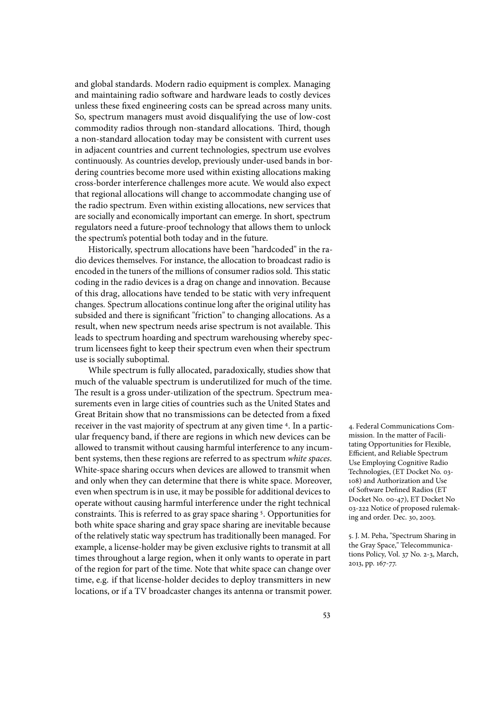and global standards. Modern radio equipment is complex. Managing and maintaining radio software and hardware leads to costly devices unless these fixed engineering costs can be spread across many units. So, spectrum managers must avoid disqualifying the use of low-cost commodity radios through non-standard allocations. Third, though a non-standard allocation today may be consistent with current uses in adjacent countries and current technologies, spectrum use evolves continuously. As countries develop, previously under-used bands in bordering countries become more used within existing allocations making cross-border interference challenges more acute. We would also expect that regional allocations will change to accommodate changing use of the radio spectrum. Even within existing allocations, new services that are socially and economically important can emerge. In short, spectrum regulators need a future-proof technology that allows them to unlock the spectrum's potential both today and in the future.

Historically, spectrum allocations have been "hardcoded" in the radio devices themselves. For instance, the allocation to broadcast radio is encoded in the tuners of the millions of consumer radios sold. This static coding in the radio devices is a drag on change and innovation. Because of this drag, allocations have tended to be static with very infrequent changes. Spectrum allocations continue long after the original utility has subsided and there is significant "friction" to changing allocations. As a result, when new spectrum needs arise spectrum is not available. This leads to spectrum hoarding and spectrum warehousing whereby spectrum licensees fight to keep their spectrum even when their spectrum use is socially suboptimal.

While spectrum is fully allocated, paradoxically, studies show that much of the valuable spectrum is underutilized for much of the time. The result is a gross under-utilization of the spectrum. Spectrum measurements even in large cities of countries such as the United States and Great Britain show that no transmissions can be detected from a fixed receiver in the vast majority of spectrum at any given time 4. In a partic- 4. Federal Communications Comular frequency band, if there are regions in which new devices can be allowed to transmit without causing harmful interference to any incumbent systems, then these regions are referred to as spectrum *white spaces*. White-space sharing occurs when devices are allowed to transmit when and only when they can determine that there is white space. Moreover, even when spectrum is in use, it may be possible for additional devices to operate without causing harmful interference under the right technical constraints. This is referred to as gray space sharing<sup>5</sup>. Opportunities for both white space sharing and gray space sharing are inevitable because of the relatively static way spectrum has traditionally been managed. For example, a license-holder may be given exclusive rights to transmit at all times throughout a large region, when it only wants to operate in part of the region for part of the time. Note that white space can change over time, e.g. if that license-holder decides to deploy transmitters in new locations, or if a TV broadcaster changes its antenna or transmit power.

mission. In the matter of Facilitating Opportunities for Flexible, Efficient, and Reliable Spectrum Use Employing Cognitive Radio Technologies, (ET Docket No. 03- 108) and Authorization and Use of Software Defined Radios (ET Docket No. 00-47), ET Docket No 03-222 Notice of proposed rulemaking and order. Dec. 30, 2003.

5. J. M. Peha, "Spectrum Sharing in the Gray Space," Telecommunications Policy, Vol. 37 No. 2-3, March, 2013, pp. 167-77.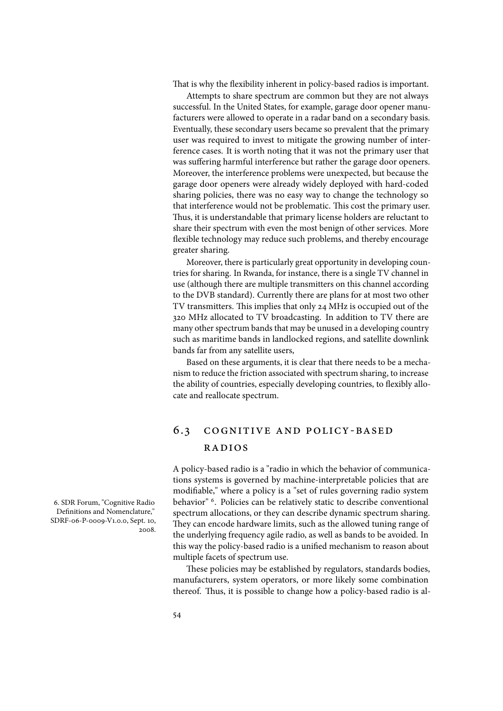That is why the flexibility inherent in policy-based radios is important.

Attempts to share spectrum are common but they are not always successful. In the United States, for example, garage door opener manufacturers were allowed to operate in a radar band on a secondary basis. Eventually, these secondary users became so prevalent that the primary user was required to invest to mitigate the growing number of interference cases. It is worth noting that it was not the primary user that was suffering harmful interference but rather the garage door openers. Moreover, the interference problems were unexpected, but because the garage door openers were already widely deployed with hard-coded sharing policies, there was no easy way to change the technology so that interference would not be problematic. This cost the primary user. Thus, it is understandable that primary license holders are reluctant to share their spectrum with even the most benign of other services. More flexible technology may reduce such problems, and thereby encourage greater sharing.

Moreover, there is particularly great opportunity in developing countries for sharing. In Rwanda, for instance, there is a single TV channel in use (although there are multiple transmitters on this channel according to the DVB standard). Currently there are plans for at most two other TV transmitters. This implies that only 24 MHz is occupied out of the 320 MHz allocated to TV broadcasting. In addition to TV there are many other spectrum bands that may be unused in a developing country such as maritime bands in landlocked regions, and satellite downlink bands far from any satellite users,

Based on these arguments, it is clear that there needs to be a mechanism to reduce the friction associated with spectrum sharing, to increase the ability of countries, especially developing countries, to flexibly allocate and reallocate spectrum.

# 6.3 cognitive and policy-based radios

A policy-based radio is a "radio in which the behavior of communications systems is governed by machine-interpretable policies that are modifiable," where a policy is a "set of rules governing radio system behavior"<sup>6</sup>. Policies can be relatively static to describe conventional spectrum allocations, or they can describe dynamic spectrum sharing. They can encode hardware limits, such as the allowed tuning range of the underlying frequency agile radio, as well as bands to be avoided. In this way the policy-based radio is a unified mechanism to reason about multiple facets of spectrum use.

These policies may be established by regulators, standards bodies, manufacturers, system operators, or more likely some combination thereof. Thus, it is possible to change how a policy-based radio is al-

6. SDR Forum, "Cognitive Radio Definitions and Nomenclature," SDRF-06-P-0009-V1.0.0, Sept. 10, 2008.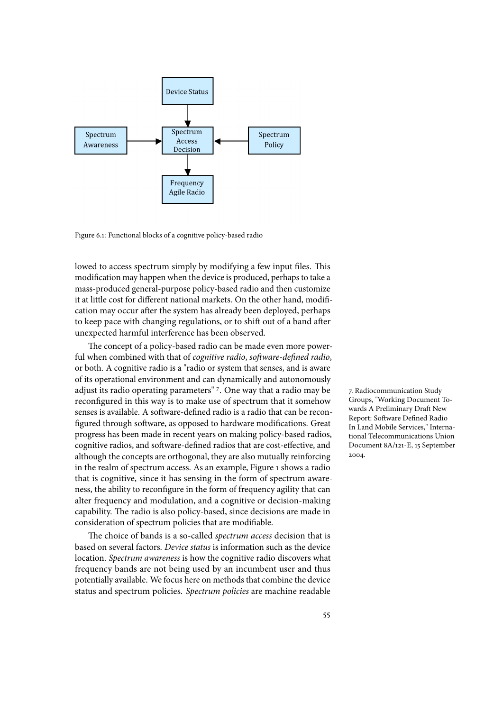

Figure 6.1: Functional blocks of a cognitive policy-based radio

lowed to access spectrum simply by modifying a few input files. This modification may happen when the device is produced, perhaps to take a mass-produced general-purpose policy-based radio and then customize it at little cost for different national markets. On the other hand, modification may occur after the system has already been deployed, perhaps to keep pace with changing regulations, or to shift out of a band after unexpected harmful interference has been observed.

The concept of a policy-based radio can be made even more powerful when combined with that of *cognitive radio*, *software-defined radio*, or both. A cognitive radio is a "radio or system that senses, and is aware of its operational environment and can dynamically and autonomously adjust its radio operating parameters" <sup>7</sup>. One way that a radio may be handiocommunication Study reconfigured in this way is to make use of spectrum that it somehow senses is available. A software-defined radio is a radio that can be reconfigured through software, as opposed to hardware modifications. Great progress has been made in recent years on making policy-based radios, cognitive radios, and software-defined radios that are cost-effective, and although the concepts are orthogonal, they are also mutually reinforcing in the realm of spectrum access. As an example, Figure 1 shows a radio that is cognitive, since it has sensing in the form of spectrum awareness, the ability to reconfigure in the form of frequency agility that can alter frequency and modulation, and a cognitive or decision-making capability. The radio is also policy-based, since decisions are made in consideration of spectrum policies that are modifiable.

The choice of bands is a so-called *spectrum access* decision that is based on several factors. *Device status* is information such as the device location. *Spectrum awareness* is how the cognitive radio discovers what frequency bands are not being used by an incumbent user and thus potentially available. We focus here on methods that combine the device status and spectrum policies. *Spectrum policies* are machine readable Groups, "Working Document Towards A Preliminary Draft New Report: Software Defined Radio In Land Mobile Services," International Telecommunications Union Document 8A/121-E, 15 September 2004.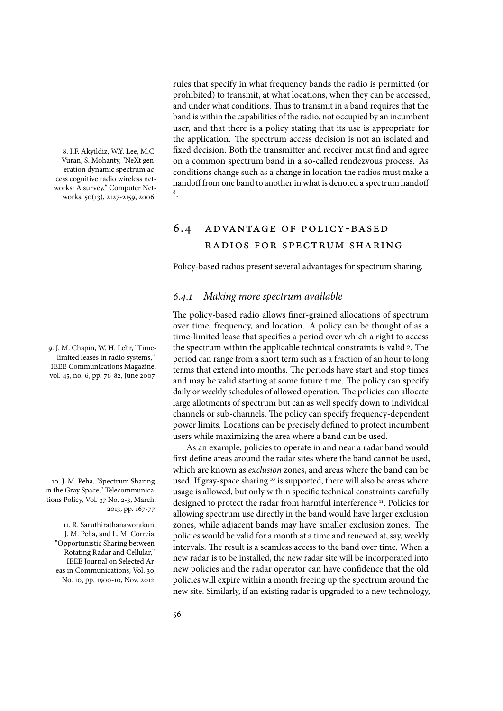8. I.F. Akyildiz, W.Y. Lee, M.C. Vuran, S. Mohanty, "NeXt generation dynamic spectrum access cognitive radio wireless networks: A survey," Computer Networks, 50(13), 2127-2159, 2006.

limited leases in radio systems," IEEE Communications Magazine, vol. 45, no. 6, pp. 76-82, June 2007.

in the Gray Space," Telecommunications Policy, Vol. 37 No. 2-3, March, 2013, pp. 167-77.

11. R. Saruthirathanaworakun, J. M. Peha, and L. M. Correia, "Opportunistic Sharing between Rotating Radar and Cellular," IEEE Journal on Selected Areas in Communications, Vol. 30, No. 10, pp. 1900-10, Nov. 2012.

rules that specify in what frequency bands the radio is permitted (or prohibited) to transmit, at what locations, when they can be accessed, and under what conditions. Thus to transmit in a band requires that the band is within the capabilities of the radio, not occupied by an incumbent user, and that there is a policy stating that its use is appropriate for the application. The spectrum access decision is not an isolated and fixed decision. Both the transmitter and receiver must find and agree on a common spectrum band in a so-called rendezvous process. As conditions change such as a change in location the radios must make a handoff from one band to another in what is denoted a spectrum handoff 8

# 6.4 ADVANTAGE OF POLICY-BASED radios for spectrum sharing

Policy-based radios present several advantages for spectrum sharing.

#### 6*.*4*.*1 *Making more spectrum available*

The policy-based radio allows finer-grained allocations of spectrum over time, frequency, and location. A policy can be thought of as a time-limited lease that specifies a period over which a right to access و. J. M. Chapin, W. H. Lehr, "Time-  $\quad$  the spectrum within the applicable technical constraints is valid <sup>9</sup>. The period can range from a short term such as a fraction of an hour to long terms that extend into months. The periods have start and stop times and may be valid starting at some future time. The policy can specify daily or weekly schedules of allowed operation. The policies can allocate large allotments of spectrum but can as well specify down to individual channels or sub-channels. The policy can specify frequency-dependent power limits. Locations can be precisely defined to protect incumbent users while maximizing the area where a band can be used.

As an example, policies to operate in and near a radar band would first define areas around the radar sites where the band cannot be used. which are known as *exclusion* zones, and areas where the band can be 10. J. M. Peha, "Spectrum Sharing used. If gray-space sharing <sup>10</sup> is supported, there will also be areas where usage is allowed, but only within specific technical constraints carefully designed to protect the radar from harmful interference<sup>11</sup>. Policies for allowing spectrum use directly in the band would have larger exclusion zones, while adjacent bands may have smaller exclusion zones. The policies would be valid for a month at a time and renewed at, say, weekly intervals. The result is a seamless access to the band over time. When a new radar is to be installed, the new radar site will be incorporated into new policies and the radar operator can have confidence that the old policies will expire within a month freeing up the spectrum around the new site. Similarly, if an existing radar is upgraded to a new technology,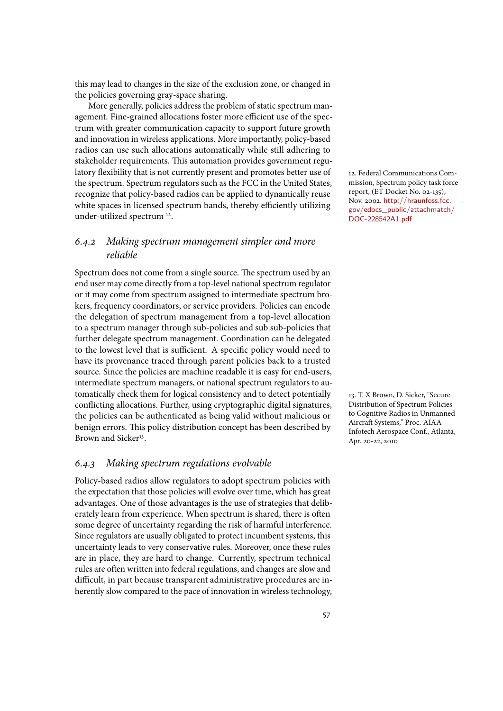this may lead to changes in the size of the exclusion zone, or changed in the policies governing gray-space sharing.

More generally, policies address the problem of static spectrum management. Fine-grained allocations foster more efficient use of the spectrum with greater communication capacity to support future growth and innovation in wireless applications. More importantly, policy-based radios can use such allocations automatically while still adhering to stakeholder requirements. This automation provides government regulatory flexibility that is not currently present and promotes better use of the spectrum. Spectrum regulators such as the FCC in the United States, recognize that policy-based radios can be applied to dynamically reuse white spaces in licensed spectrum bands, thereby efficiently utilizing under-utilized spectrum<sup>12</sup>.

## 6*.*4*.*2 *Making spectrum management simpler and more reliable*

Spectrum does not come from a single source. The spectrum used by an end user may come directly from a top-level national spectrum regulator or it may come from spectrum assigned to intermediate spectrum brokers, frequency coordinators, or service providers. Policies can encode the delegation of spectrum management from a top-level allocation to a spectrum manager through sub-policies and sub sub-policies that further delegate spectrum management. Coordination can be delegated to the lowest level that is sufficient. A specific policy would need to have its provenance traced through parent policies back to a trusted source. Since the policies are machine readable it is easy for end-users, intermediate spectrum managers, or national spectrum regulators to automatically check them for logical consistency and to detect potentially conflicting allocations. Further, using cryptographic digital signatures, the policies can be authenticated as being valid without malicious or benign errors. This policy distribution concept has been described by Brown and Sicker<sup>13</sup>.

## 6*.*4*.*3 *Making spectrum regulations evolvable*

Policy-based radios allow regulators to adopt spectrum policies with the expectation that those policies will evolve over time, which has great advantages. One of those advantages is the use of strategies that deliberately learn from experience. When spectrum is shared, there is often some degree of uncertainty regarding the risk of harmful interference. Since regulators are usually obligated to protect incumbent systems, this uncertainty leads to very conservative rules. Moreover, once these rules are in place, they are hard to change. Currently, spectrum technical rules are often written into federal regulations, and changes are slow and difficult, in part because transparent administrative procedures are inherently slow compared to the pace of innovation in wireless technology, 12. Federal Communications Commission, Spectrum policy task force report, (ET Docket No. 02-135), Nov. 2002. http://hraunfoss.fcc. gov/edocs\_public/attachmatch/ DOC-228542A1.pdf .

13. T. X Brown, D. Sicker, "Secure Distribution of Spectrum Policies to Cognitive Radios in Unmanned Aircraft Systems," Proc. AIAA Infotech Aerospace Conf., Atlanta, Apr. 20-22, 2010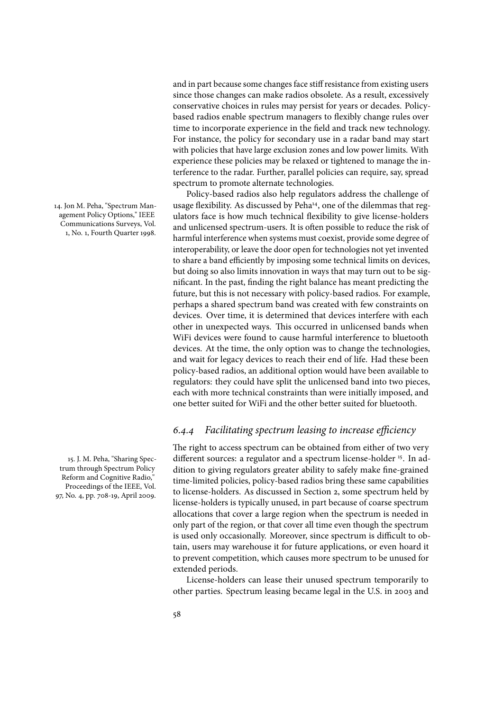agement Policy Options," IEEE Communications Surveys, Vol. 1, No. 1, Fourth Quarter 1998.

trum through Spectrum Policy Reform and Cognitive Radio," Proceedings of the IEEE, Vol. 97, No. 4, pp. 708-19, April 2009.

and in part because some changes face stiff resistance from existing users since those changes can make radios obsolete. As a result, excessively conservative choices in rules may persist for years or decades. Policybased radios enable spectrum managers to flexibly change rules over time to incorporate experience in the field and track new technology. For instance, the policy for secondary use in a radar band may start with policies that have large exclusion zones and low power limits. With experience these policies may be relaxed or tightened to manage the interference to the radar. Further, parallel policies can require, say, spread spectrum to promote alternate technologies.

Policy-based radios also help regulators address the challenge of 14. Jon M. Peha, "Spectrum Man- usage flexibility. As discussed by Peha<sup>14</sup>, one of the dilemmas that regulators face is how much technical flexibility to give license-holders and unlicensed spectrum-users. It is often possible to reduce the risk of harmful interference when systems must coexist, provide some degree of interoperability, or leave the door open for technologies not yet invented to share a band efficiently by imposing some technical limits on devices, but doing so also limits innovation in ways that may turn out to be significant. In the past, finding the right balance has meant predicting the future, but this is not necessary with policy-based radios. For example, perhaps a shared spectrum band was created with few constraints on devices. Over time, it is determined that devices interfere with each other in unexpected ways. This occurred in unlicensed bands when WiFi devices were found to cause harmful interference to bluetooth devices. At the time, the only option was to change the technologies, and wait for legacy devices to reach their end of life. Had these been policy-based radios, an additional option would have been available to regulators: they could have split the unlicensed band into two pieces, each with more technical constraints than were initially imposed, and one better suited for WiFi and the other better suited for bluetooth.

#### 6*.*4*.*4 *Facilitating spectrum leasing to increase e*(*ciency*

The right to access spectrum can be obtained from either of two very 15. J. M. Peha, "Sharing Spec- different sources: a regulator and a spectrum license-holder <sup>15</sup>. In addition to giving regulators greater ability to safely make fine-grained time-limited policies, policy-based radios bring these same capabilities to license-holders. As discussed in Section 2, some spectrum held by license-holders is typically unused, in part because of coarse spectrum allocations that cover a large region when the spectrum is needed in only part of the region, or that cover all time even though the spectrum is used only occasionally. Moreover, since spectrum is difficult to obtain, users may warehouse it for future applications, or even hoard it to prevent competition, which causes more spectrum to be unused for extended periods.

> License-holders can lease their unused spectrum temporarily to other parties. Spectrum leasing became legal in the U.S. in 2003 and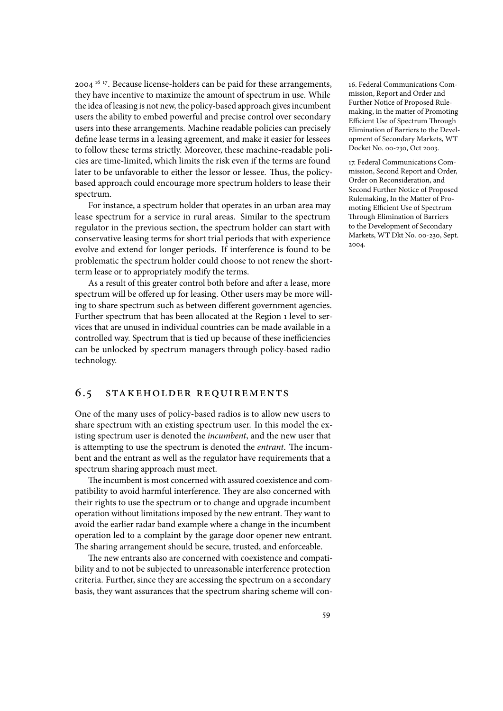2004<sup>16</sup><sup>17</sup>. Because license-holders can be paid for these arrangements, 16. Federal Communications Comthey have incentive to maximize the amount of spectrum in use. While the idea of leasing is not new, the policy-based approach gives incumbent users the ability to embed powerful and precise control over secondary users into these arrangements. Machine readable policies can precisely define lease terms in a leasing agreement, and make it easier for lessees to follow these terms strictly. Moreover, these machine-readable policies are time-limited, which limits the risk even if the terms are found later to be unfavorable to either the lessor or lessee. Thus, the policybased approach could encourage more spectrum holders to lease their spectrum.

For instance, a spectrum holder that operates in an urban area may lease spectrum for a service in rural areas. Similar to the spectrum regulator in the previous section, the spectrum holder can start with conservative leasing terms for short trial periods that with experience evolve and extend for longer periods. If interference is found to be problematic the spectrum holder could choose to not renew the shortterm lease or to appropriately modify the terms.

As a result of this greater control both before and after a lease, more spectrum will be offered up for leasing. Other users may be more willing to share spectrum such as between different government agencies. Further spectrum that has been allocated at the Region 1 level to services that are unused in individual countries can be made available in a controlled way. Spectrum that is tied up because of these inefficiencies can be unlocked by spectrum managers through policy-based radio technology.

#### 6.5 stakeholder requirements

One of the many uses of policy-based radios is to allow new users to share spectrum with an existing spectrum user. In this model the existing spectrum user is denoted the *incumbent*, and the new user that is attempting to use the spectrum is denoted the *entrant*. The incumbent and the entrant as well as the regulator have requirements that a spectrum sharing approach must meet.

The incumbent is most concerned with assured coexistence and compatibility to avoid harmful interference. They are also concerned with their rights to use the spectrum or to change and upgrade incumbent operation without limitations imposed by the new entrant. They want to avoid the earlier radar band example where a change in the incumbent operation led to a complaint by the garage door opener new entrant. The sharing arrangement should be secure, trusted, and enforceable.

The new entrants also are concerned with coexistence and compatibility and to not be subjected to unreasonable interference protection criteria. Further, since they are accessing the spectrum on a secondary basis, they want assurances that the spectrum sharing scheme will conmission, Report and Order and Further Notice of Proposed Rulemaking, in the matter of Promoting Efficient Use of Spectrum Through Elimination of Barriers to the Development of Secondary Markets, WT Docket No. 00-230, Oct 2003.

17. Federal Communications Commission, Second Report and Order, Order on Reconsideration, and Second Further Notice of Proposed Rulemaking, In the Matter of Promoting Efficient Use of Spectrum Through Elimination of Barriers to the Development of Secondary Markets, WT Dkt No. 00-230, Sept. 2004.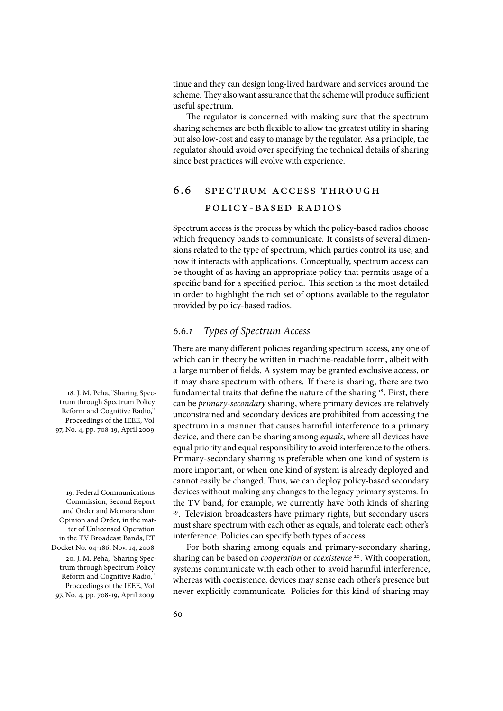tinue and they can design long-lived hardware and services around the scheme. They also want assurance that the scheme will produce sufficient useful spectrum.

The regulator is concerned with making sure that the spectrum sharing schemes are both flexible to allow the greatest utility in sharing but also low-cost and easy to manage by the regulator. As a principle, the regulator should avoid over specifying the technical details of sharing since best practices will evolve with experience.

# 6.6 spectrum access through policy-based radios

Spectrum access is the process by which the policy-based radios choose which frequency bands to communicate. It consists of several dimensions related to the type of spectrum, which parties control its use, and how it interacts with applications. Conceptually, spectrum access can be thought of as having an appropriate policy that permits usage of a specific band for a specified period. This section is the most detailed in order to highlight the rich set of options available to the regulator provided by policy-based radios.

### 6*.*6*.*1 *Types of Spectrum Access*

There are many different policies regarding spectrum access, any one of which can in theory be written in machine-readable form, albeit with a large number of fields. A system may be granted exclusive access, or it may share spectrum with others. If there is sharing, there are two 18. J. M. Peha, "Sharing Spec- $\qquad$  fundamental traits that define the nature of the sharing  $^{18}.$  First, there can be *primary-secondary* sharing, where primary devices are relatively unconstrained and secondary devices are prohibited from accessing the spectrum in a manner that causes harmful interference to a primary device, and there can be sharing among *equals*, where all devices have equal priority and equal responsibility to avoid interference to the others. Primary-secondary sharing is preferable when one kind of system is more important, or when one kind of system is already deployed and cannot easily be changed. Thus, we can deploy policy-based secondary devices without making any changes to the legacy primary systems. In the TV band, for example, we currently have both kinds of sharing <sup>19</sup>. Television broadcasters have primary rights, but secondary users must share spectrum with each other as equals, and tolerate each other's interference. Policies can specify both types of access.

For both sharing among equals and primary-secondary sharing, 20. J. M. Peha, "Sharing Spec- sharing can be based on *cooperation* or *coexistence* <sup>20</sup>. With cooperation, systems communicate with each other to avoid harmful interference, whereas with coexistence, devices may sense each other's presence but never explicitly communicate. Policies for this kind of sharing may

trum through Spectrum Policy Reform and Cognitive Radio," Proceedings of the IEEE, Vol. 97, No. 4, pp. 708-19, April 2009.

19. Federal Communications Commission, Second Report and Order and Memorandum Opinion and Order, in the matter of Unlicensed Operation in the TV Broadcast Bands, ET Docket No. 04-186, Nov. 14, 2008.

trum through Spectrum Policy Reform and Cognitive Radio," Proceedings of the IEEE, Vol. 97, No. 4, pp. 708-19, April 2009.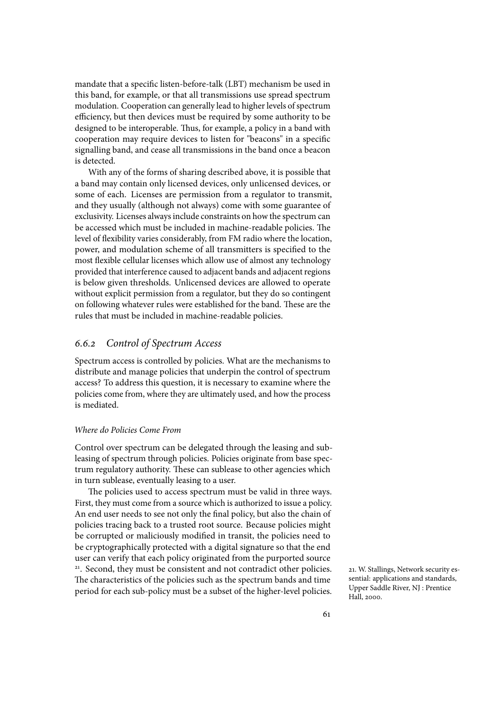mandate that a specific listen-before-talk (LBT) mechanism be used in this band, for example, or that all transmissions use spread spectrum modulation. Cooperation can generally lead to higher levels of spectrum efficiency, but then devices must be required by some authority to be designed to be interoperable. Thus, for example, a policy in a band with cooperation may require devices to listen for "beacons" in a specific signalling band, and cease all transmissions in the band once a beacon is detected.

With any of the forms of sharing described above, it is possible that a band may contain only licensed devices, only unlicensed devices, or some of each. Licenses are permission from a regulator to transmit, and they usually (although not always) come with some guarantee of exclusivity. Licenses always include constraints on how the spectrum can be accessed which must be included in machine-readable policies. The level of flexibility varies considerably, from FM radio where the location, power, and modulation scheme of all transmitters is specified to the most flexible cellular licenses which allow use of almost any technology provided that interference caused to adjacent bands and adjacent regions is below given thresholds. Unlicensed devices are allowed to operate without explicit permission from a regulator, but they do so contingent on following whatever rules were established for the band. These are the rules that must be included in machine-readable policies.

#### 6*.*6*.*2 *Control of Spectrum Access*

Spectrum access is controlled by policies. What are the mechanisms to distribute and manage policies that underpin the control of spectrum access? To address this question, it is necessary to examine where the policies come from, where they are ultimately used, and how the process is mediated.

#### *Where do Policies Come From*

Control over spectrum can be delegated through the leasing and subleasing of spectrum through policies. Policies originate from base spectrum regulatory authority. These can sublease to other agencies which in turn sublease, eventually leasing to a user.

The policies used to access spectrum must be valid in three ways. First, they must come from a source which is authorized to issue a policy. An end user needs to see not only the final policy, but also the chain of policies tracing back to a trusted root source. Because policies might be corrupted or maliciously modified in transit, the policies need to be cryptographically protected with a digital signature so that the end user can verify that each policy originated from the purported source <sup>21</sup>. Second, they must be consistent and not contradict other policies. <br>
21. W. Stallings, Network security es-The characteristics of the policies such as the spectrum bands and time period for each sub-policy must be a subset of the higher-level policies.

sential: applications and standards, Upper Saddle River, NJ : Prentice Hall, 2000.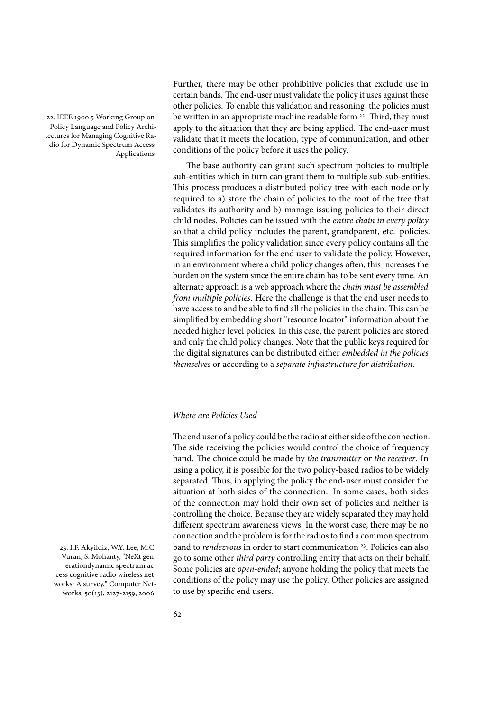Policy Language and Policy Architectures for Managing Cognitive Radio for Dynamic Spectrum Access Applications

Further, there may be other prohibitive policies that exclude use in certain bands. The end-user must validate the policy it uses against these other policies. To enable this validation and reasoning, the policies must 22. IEEE 1900.5 Working Group on be written in an appropriate machine readable form <sup>22</sup>. Third, they must apply to the situation that they are being applied. The end-user must validate that it meets the location, type of communication, and other conditions of the policy before it uses the policy.

> The base authority can grant such spectrum policies to multiple sub-entities which in turn can grant them to multiple sub-sub-entities. This process produces a distributed policy tree with each node only required to a) store the chain of policies to the root of the tree that validates its authority and b) manage issuing policies to their direct child nodes. Policies can be issued with the *entire chain in every policy* so that a child policy includes the parent, grandparent, etc. policies. This simplifies the policy validation since every policy contains all the required information for the end user to validate the policy. However, in an environment where a child policy changes often, this increases the burden on the system since the entire chain has to be sent every time. An alternate approach is a web approach where the *chain must be assembled from multiple policies*. Here the challenge is that the end user needs to have access to and be able to find all the policies in the chain. This can be simplified by embedding short "resource locator" information about the needed higher level policies. In this case, the parent policies are stored and only the child policy changes. Note that the public keys required for the digital signatures can be distributed either *embedded in the policies themselves* or according to a *separate infrastructure for distribution*.

#### *Where are Policies Used*

The end user of a policy could be the radio at either side of the connection. The side receiving the policies would control the choice of frequency band. The choice could be made by *the transmitter* or *the receiver*. In using a policy, it is possible for the two policy-based radios to be widely separated. Thus, in applying the policy the end-user must consider the situation at both sides of the connection. In some cases, both sides of the connection may hold their own set of policies and neither is controlling the choice. Because they are widely separated they may hold different spectrum awareness views. In the worst case, there may be no connection and the problem is for the radios to find a common spectrum 23. I.F. Akyildiz, W.Y. Lee, M.C. band to *rendezvous* in order to start communication <sup>23</sup>. Policies can also go to some other *third party* controlling entity that acts on their behalf. Some policies are *open-ended*; anyone holding the policy that meets the conditions of the policy may use the policy. Other policies are assigned to use by specific end users.

Vuran, S. Mohanty, "NeXt generationdynamic spectrum access cognitive radio wireless networks: A survey," Computer Networks, 50(13), 2127-2159, 2006.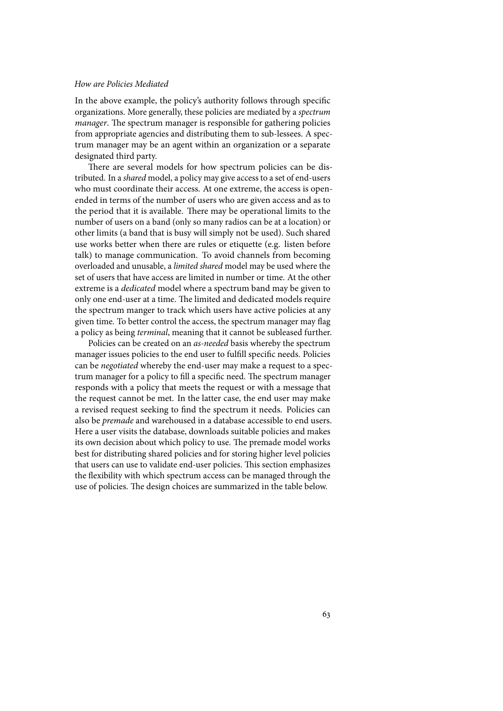#### *How are Policies Mediated*

In the above example, the policy's authority follows through specific organizations. More generally, these policies are mediated by a *spectrum manager*. The spectrum manager is responsible for gathering policies from appropriate agencies and distributing them to sub-lessees. A spectrum manager may be an agent within an organization or a separate designated third party.

There are several models for how spectrum policies can be distributed. In a *shared* model, a policy may give access to a set of end-users who must coordinate their access. At one extreme, the access is openended in terms of the number of users who are given access and as to the period that it is available. There may be operational limits to the number of users on a band (only so many radios can be at a location) or other limits (a band that is busy will simply not be used). Such shared use works better when there are rules or etiquette (e.g. listen before talk) to manage communication. To avoid channels from becoming overloaded and unusable, a *limited shared* model may be used where the set of users that have access are limited in number or time. At the other extreme is a *dedicated* model where a spectrum band may be given to only one end-user at a time. The limited and dedicated models require the spectrum manger to track which users have active policies at any given time. To better control the access, the spectrum manager may flag a policy as being *terminal*, meaning that it cannot be subleased further.

Policies can be created on an *as-needed* basis whereby the spectrum manager issues policies to the end user to fulfill specific needs. Policies can be *negotiated* whereby the end-user may make a request to a spectrum manager for a policy to fill a specific need. The spectrum manager responds with a policy that meets the request or with a message that the request cannot be met. In the latter case, the end user may make a revised request seeking to find the spectrum it needs. Policies can also be *premade* and warehoused in a database accessible to end users. Here a user visits the database, downloads suitable policies and makes its own decision about which policy to use. The premade model works best for distributing shared policies and for storing higher level policies that users can use to validate end-user policies. This section emphasizes the flexibility with which spectrum access can be managed through the use of policies. The design choices are summarized in the table below.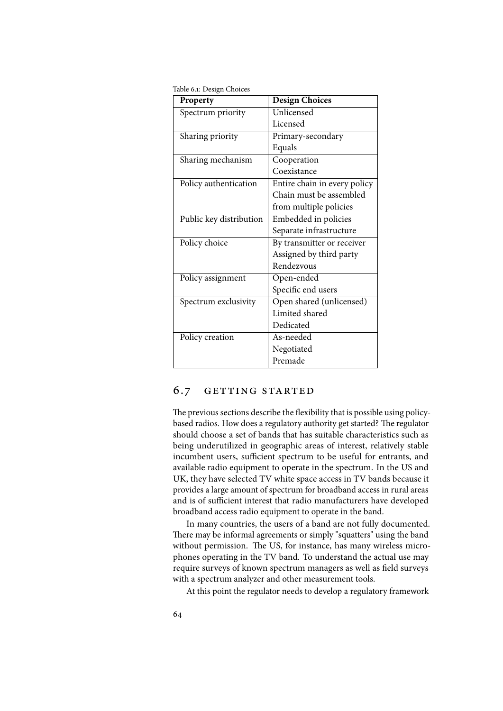Table 6.1: Design Choices

| Property                | <b>Design Choices</b>        |
|-------------------------|------------------------------|
| Spectrum priority       | Unlicensed                   |
|                         | Licensed                     |
| Sharing priority        | Primary-secondary            |
|                         | Equals                       |
| Sharing mechanism       | Cooperation                  |
|                         | Coexistance                  |
| Policy authentication   | Entire chain in every policy |
|                         | Chain must be assembled      |
|                         | from multiple policies       |
| Public key distribution | Embedded in policies         |
|                         | Separate infrastructure      |
| Policy choice           | By transmitter or receiver   |
|                         | Assigned by third party      |
|                         | Rendezvous                   |
| Policy assignment       | Open-ended                   |
|                         | Specific end users           |
| Spectrum exclusivity    | Open shared (unlicensed)     |
|                         | Limited shared               |
|                         | Dedicated                    |
| Policy creation         | As-needed                    |
|                         | Negotiated                   |
|                         | Premade                      |

#### 6.7 getting started

The previous sections describe the flexibility that is possible using policybased radios. How does a regulatory authority get started? The regulator should choose a set of bands that has suitable characteristics such as being underutilized in geographic areas of interest, relatively stable incumbent users, sufficient spectrum to be useful for entrants, and available radio equipment to operate in the spectrum. In the US and UK, they have selected TV white space access in TV bands because it provides a large amount of spectrum for broadband access in rural areas and is of sufficient interest that radio manufacturers have developed broadband access radio equipment to operate in the band.

In many countries, the users of a band are not fully documented. There may be informal agreements or simply "squatters" using the band without permission. The US, for instance, has many wireless microphones operating in the TV band. To understand the actual use may require surveys of known spectrum managers as well as field surveys with a spectrum analyzer and other measurement tools.

At this point the regulator needs to develop a regulatory framework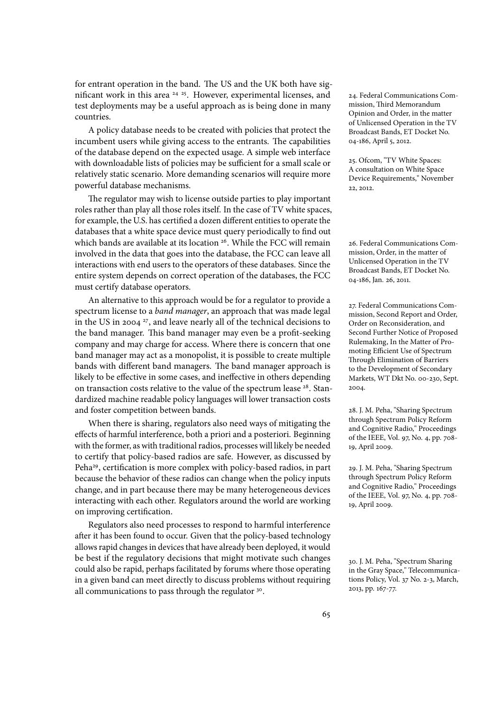for entrant operation in the band. The US and the UK both have significant work in this area <sup>24 25</sup>. However, experimental licenses, and 24. Federal Communications Comtest deployments may be a useful approach as is being done in many countries.

A policy database needs to be created with policies that protect the incumbent users while giving access to the entrants. The capabilities of the database depend on the expected usage. A simple web interface with downloadable lists of policies may be sufficient for a small scale or relatively static scenario. More demanding scenarios will require more powerful database mechanisms.

The regulator may wish to license outside parties to play important roles rather than play all those roles itself. In the case of TV white spaces, for example, the U.S. has certified a dozen different entities to operate the databases that a white space device must query periodically to find out which bands are available at its location <sup>26</sup>. While the FCC will remain 26. Federal Communications Cominvolved in the data that goes into the database, the FCC can leave all interactions with end users to the operators of these databases. Since the entire system depends on correct operation of the databases, the FCC must certify database operators.

An alternative to this approach would be for a regulator to provide a spectrum license to a *band manager*, an approach that was made legal in the US in 2004<sup>27</sup>, and leave nearly all of the technical decisions to the band manager. This band manager may even be a profit-seeking company and may charge for access. Where there is concern that one band manager may act as a monopolist, it is possible to create multiple bands with different band managers. The band manager approach is likely to be effective in some cases, and ineffective in others depending on transaction costs relative to the value of the spectrum lease <sup>28</sup>. Standardized machine readable policy languages will lower transaction costs and foster competition between bands.

When there is sharing, regulators also need ways of mitigating the effects of harmful interference, both a priori and a posteriori. Beginning with the former, as with traditional radios, processes will likely be needed to certify that policy-based radios are safe. However, as discussed by Peha<sup>29</sup>, certification is more complex with policy-based radios, in part 29. J. M. Peha, "Sharing Spectrum because the behavior of these radios can change when the policy inputs change, and in part because there may be many heterogeneous devices interacting with each other. Regulators around the world are working on improving certification.

Regulators also need processes to respond to harmful interference after it has been found to occur. Given that the policy-based technology allows rapid changes in devices that have already been deployed, it would be best if the regulatory decisions that might motivate such changes could also be rapid, perhaps facilitated by forums where those operating in a given band can meet directly to discuss problems without requiring all communications to pass through the regulator <sup>30</sup>.

mission, Third Memorandum Opinion and Order, in the matter of Unlicensed Operation in the TV Broadcast Bands, ET Docket No. 04-186, April 5, 2012.

25. Ofcom, "TV White Spaces: A consultation on White Space Device Requirements," November 22, 2012.

mission, Order, in the matter of Unlicensed Operation in the TV Broadcast Bands, ET Docket No. 04-186, Jan. 26, 2011.

27. Federal Communications Commission, Second Report and Order, Order on Reconsideration, and Second Further Notice of Proposed Rulemaking, In the Matter of Promoting Efficient Use of Spectrum Through Elimination of Barriers to the Development of Secondary Markets, WT Dkt No. 00-230, Sept. 2004.

28. J. M. Peha, "Sharing Spectrum through Spectrum Policy Reform and Cognitive Radio," Proceedings of the IEEE, Vol. 97, No. 4, pp. 708- 19, April 2009.

through Spectrum Policy Reform and Cognitive Radio," Proceedings of the IEEE, Vol. 97, No. 4, pp. 708- 19, April 2009.

30. J. M. Peha, "Spectrum Sharing in the Gray Space," Telecommunications Policy, Vol. 37 No. 2-3, March, 2013, pp. 167-77.